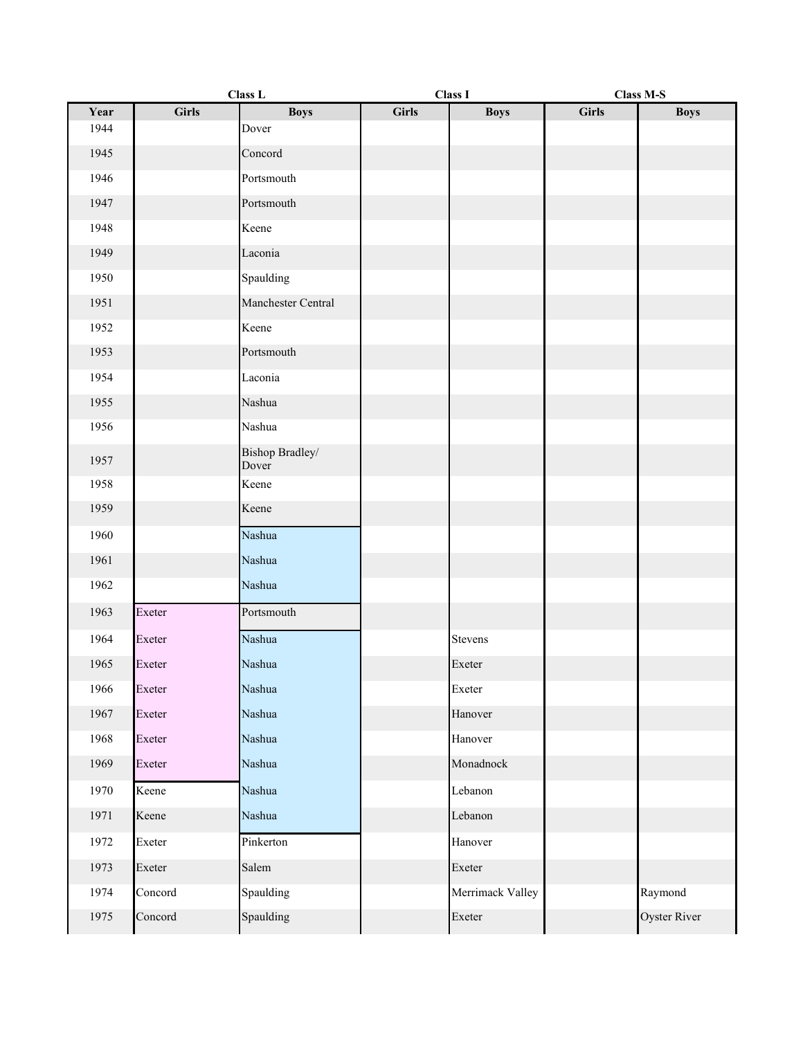|      | Class L      |                          | <b>Class I</b> |                  | <b>Class M-S</b> |              |
|------|--------------|--------------------------|----------------|------------------|------------------|--------------|
| Year | <b>Girls</b> | <b>Boys</b>              | <b>Girls</b>   | <b>Boys</b>      | <b>Girls</b>     | <b>Boys</b>  |
| 1944 |              | Dover                    |                |                  |                  |              |
| 1945 |              | Concord                  |                |                  |                  |              |
| 1946 |              | Portsmouth               |                |                  |                  |              |
| 1947 |              | Portsmouth               |                |                  |                  |              |
| 1948 |              | Keene                    |                |                  |                  |              |
| 1949 |              | Laconia                  |                |                  |                  |              |
| 1950 |              | Spaulding                |                |                  |                  |              |
| 1951 |              | Manchester Central       |                |                  |                  |              |
| 1952 |              | Keene                    |                |                  |                  |              |
| 1953 |              | Portsmouth               |                |                  |                  |              |
| 1954 |              | Laconia                  |                |                  |                  |              |
| 1955 |              | Nashua                   |                |                  |                  |              |
| 1956 |              | Nashua                   |                |                  |                  |              |
| 1957 |              | Bishop Bradley/<br>Dover |                |                  |                  |              |
| 1958 |              | Keene                    |                |                  |                  |              |
| 1959 |              | Keene                    |                |                  |                  |              |
| 1960 |              | Nashua                   |                |                  |                  |              |
| 1961 |              | Nashua                   |                |                  |                  |              |
| 1962 |              | Nashua                   |                |                  |                  |              |
| 1963 | Exeter       | Portsmouth               |                |                  |                  |              |
| 1964 | Exeter       | Nashua                   |                | Stevens          |                  |              |
| 1965 | Exeter       | Nashua                   |                | Exeter           |                  |              |
| 1966 | Exeter       | Nashua                   |                | Exeter           |                  |              |
| 1967 | Exeter       | Nashua                   |                | Hanover          |                  |              |
| 1968 | Exeter       | Nashua                   |                | Hanover          |                  |              |
| 1969 | Exeter       | Nashua                   |                | Monadnock        |                  |              |
| 1970 | Keene        | Nashua                   |                | Lebanon          |                  |              |
| 1971 | Keene        | Nashua                   |                | Lebanon          |                  |              |
| 1972 | Exeter       | Pinkerton                |                | Hanover          |                  |              |
| 1973 | Exeter       | Salem                    |                | Exeter           |                  |              |
| 1974 | Concord      | Spaulding                |                | Merrimack Valley |                  | Raymond      |
| 1975 | Concord      | Spaulding                |                | Exeter           |                  | Oyster River |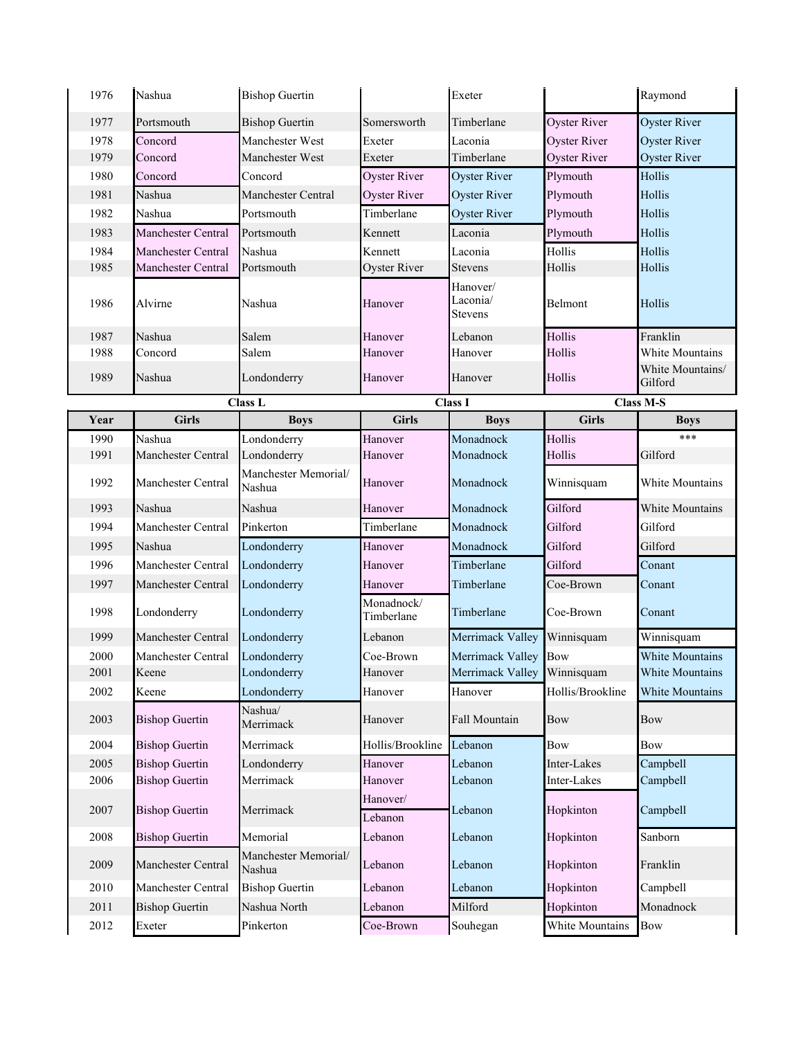| 1976 | Nashua                | <b>Bishop Guertin</b>          |                          | Exeter                          |                     | Raymond                     |
|------|-----------------------|--------------------------------|--------------------------|---------------------------------|---------------------|-----------------------------|
| 1977 | Portsmouth            | <b>Bishop Guertin</b>          | Somersworth              | Timberlane                      | <b>Oyster River</b> | <b>Oyster River</b>         |
| 1978 | Concord               | Manchester West                | Exeter                   | Laconia                         | <b>Oyster River</b> | <b>Oyster River</b>         |
| 1979 | Concord               | Manchester West                | Exeter                   | Timberlane                      | <b>Oyster River</b> | <b>Oyster River</b>         |
| 1980 | Concord               | Concord                        | <b>Oyster River</b>      | <b>Oyster River</b>             | Plymouth            | Hollis                      |
| 1981 | Nashua                | Manchester Central             | Oyster River             | Oyster River                    | Plymouth            | Hollis                      |
| 1982 | Nashua                | Portsmouth                     | Timberlane               | <b>Oyster River</b>             | Plymouth            | Hollis                      |
| 1983 | Manchester Central    | Portsmouth                     | Kennett                  | Laconia                         | Plymouth            | Hollis                      |
| 1984 | Manchester Central    | Nashua                         | Kennett                  | Laconia                         | Hollis              | Hollis                      |
| 1985 | Manchester Central    | Portsmouth                     | Oyster River             | Stevens                         | Hollis              | Hollis                      |
| 1986 | Alvirne               | Nashua                         | Hanover                  | Hanover/<br>Laconia/<br>Stevens | Belmont             | Hollis                      |
| 1987 | Nashua                | Salem                          | Hanover                  | Lebanon                         | Hollis              | Franklin                    |
| 1988 | Concord               | Salem                          | Hanover                  | Hanover                         | Hollis              | White Mountains             |
| 1989 | Nashua                | Londonderry                    | Hanover                  | Hanover                         | Hollis              | White Mountains/<br>Gilford |
|      |                       | Class L                        |                          | <b>Class I</b>                  |                     | <b>Class M-S</b>            |
| Year | <b>Girls</b>          | <b>Boys</b>                    | <b>Girls</b>             | <b>Boys</b>                     | <b>Girls</b>        | <b>Boys</b>                 |
| 1990 | Nashua                | Londonderry                    | Hanover                  | Monadnock                       | Hollis              | ***                         |
| 1991 | Manchester Central    | Londonderry                    | Hanover                  | Monadnock                       | Hollis              | Gilford                     |
| 1992 | Manchester Central    | Manchester Memorial/<br>Nashua | Hanover                  | Monadnock                       | Winnisquam          | <b>White Mountains</b>      |
| 1993 | Nashua                | Nashua                         | Hanover                  | Monadnock                       | Gilford             | <b>White Mountains</b>      |
| 1994 | Manchester Central    | Pinkerton                      | Timberlane               | Monadnock                       | Gilford             | Gilford                     |
| 1995 | Nashua                | Londonderry                    | Hanover                  | Monadnock                       | Gilford             | Gilford                     |
| 1996 | Manchester Central    | Londonderry                    | Hanover                  | Timberlane                      | Gilford             | Conant                      |
| 1997 | Manchester Central    | Londonderry                    | Hanover                  | Timberlane                      | Coe-Brown           | Conant                      |
| 1998 | Londonderry           | Londonderry                    | Monadnock/<br>Timberlane | Timberlane                      | Coe-Brown           | Conant                      |
| 1999 | Manchester Central    | Londonderry                    | Lebanon                  | Merrimack Valley                | Winnisquam          | Winnisquam                  |
| 2000 | Manchester Central    | Londonderry                    | Coe-Brown                | Merrimack Valley                | <b>Bow</b>          | White Mountains             |
| 2001 | Keene                 | Londonderry                    | Hanover                  | Merrimack Valley Winnisquam     |                     | White Mountains             |
| 2002 | Keene                 | Londonderry                    | Hanover                  | Hanover                         | Hollis/Brookline    | White Mountains             |
| 2003 | <b>Bishop Guertin</b> | Nashua/<br>Merrimack           | Hanover                  | Fall Mountain                   | Bow                 | Bow                         |
| 2004 | <b>Bishop Guertin</b> | Merrimack                      | Hollis/Brookline         | Lebanon                         | Bow                 | Bow                         |
| 2005 | <b>Bishop Guertin</b> | Londonderry                    | Hanover                  | Lebanon                         | Inter-Lakes         | Campbell                    |
| 2006 | <b>Bishop Guertin</b> | Merrimack                      | Hanover                  | Lebanon                         | Inter-Lakes         | Campbell                    |
| 2007 | <b>Bishop Guertin</b> | Merrimack                      | Hanover/<br>Lebanon      | Lebanon                         | Hopkinton           | Campbell                    |
| 2008 | <b>Bishop Guertin</b> | Memorial                       | Lebanon                  | Lebanon                         | Hopkinton           | Sanborn                     |
| 2009 |                       | Manchester Memorial/           | Lebanon                  | Lebanon                         | Hopkinton           | Franklin                    |
|      | Manchester Central    | Nashua                         |                          |                                 |                     |                             |
| 2010 | Manchester Central    | <b>Bishop Guertin</b>          | Lebanon                  | Lebanon                         | Hopkinton           | Campbell                    |
| 2011 | <b>Bishop Guertin</b> | Nashua North                   | Lebanon                  | Milford                         | Hopkinton           | Monadnock                   |